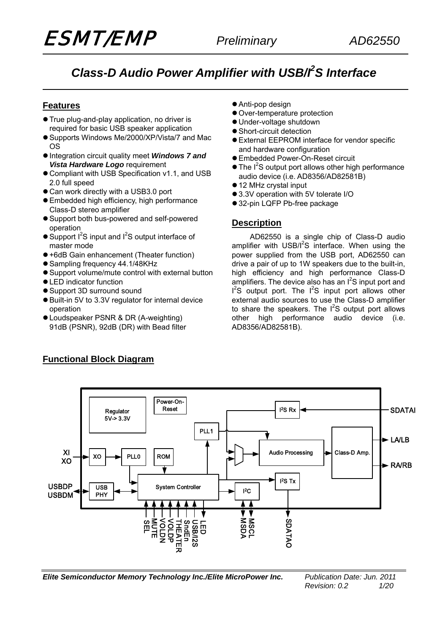# **Class-D Audio Power Amplifier with USB/f<sup>2</sup>S Interface**

## **Features**

- **True plug-and-play application, no driver is** required for basic USB speaker application
- Supports Windows Me/2000/XP/Vista/7 and Mac OS
- **•** Integration circuit quality meet *Windows 7 and Vista Hardware Logo* requirement
- Compliant with USB Specification v1.1, and USB 2.0 full speed
- Can work directly with a USB3.0 port
- **Embedded high efficiency, high performance** Class-D stereo amplifier
- Support both bus-powered and self-powered operation
- $\bullet$  Support I<sup>2</sup>S input and I<sup>2</sup>S output interface of master mode
- $\bullet$  +6dB Gain enhancement (Theater function)
- Sampling frequency 44.1/48KHz
- Support volume/mute control with external button
- **LED indicator function**
- Support 3D surround sound
- Built-in 5V to 3.3V regulator for internal device operation
- Loudspeaker PSNR & DR (A-weighting) 91dB (PSNR), 92dB (DR) with Bead filter
- Anti-pop design
- Over-temperature protection
- Under-voltage shutdown
- Short-circuit detection
- **External EEPROM interface for vendor specific** and hardware configuration
- **Embedded Power-On-Reset circuit**
- The I<sup>2</sup>S output port allows other high performance audio device (i.e. AD8356/AD82581B)
- 12 MHz crystal input
- 3.3V operation with 5V tolerate I/O
- 32-pin LQFP Pb-free package

### **Description**

AD62550 is a single chip of Class-D audio amplifier with  $USB/I<sup>2</sup>S$  interface. When using the power supplied from the USB port, AD62550 can drive a pair of up to 1W speakers due to the built-in, high efficiency and high performance Class-D amplifiers. The device also has an  $I^2S$  input port and  $I^2S$  output port. The  $I^2S$  input port allows other external audio sources to use the Class-D amplifier to share the speakers. The  $I^2S$  output port allows other high performance audio device (i.e. AD8356/AD82581B).



*Elite Semiconductor Memory Technology Inc./Elite MicroPower Inc. Publication Date: Jun. 2011* 

## **Functional Block Diagram**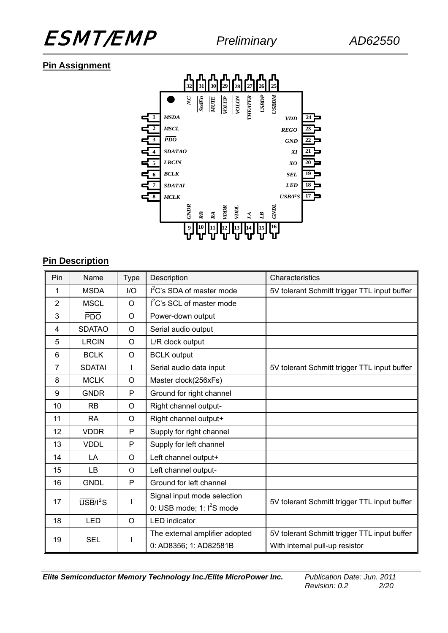

## **Pin Assignment**



## **Pin Description**

| Pin            | Name                  | <b>Type</b>  | Description                    | Characteristics                              |  |
|----------------|-----------------------|--------------|--------------------------------|----------------------------------------------|--|
| 1              | <b>MSDA</b>           | I/O          | $l2C$ 's SDA of master mode    | 5V tolerant Schmitt trigger TTL input buffer |  |
| $\overline{2}$ | <b>MSCL</b>           | $\circ$      | $l^2C$ 's SCL of master mode   |                                              |  |
| 3              | $\overline{PDO}$      | $\circ$      | Power-down output              |                                              |  |
| 4              | <b>SDATAO</b>         | $\circ$      | Serial audio output            |                                              |  |
| 5              | <b>LRCIN</b>          | $\circ$      | L/R clock output               |                                              |  |
| 6              | <b>BCLK</b>           | $\circ$      | <b>BCLK</b> output             |                                              |  |
| $\overline{7}$ | <b>SDATAI</b>         | T            | Serial audio data input        | 5V tolerant Schmitt trigger TTL input buffer |  |
| 8              | <b>MCLK</b>           | $\circ$      | Master clock(256xFs)           |                                              |  |
| 9              | <b>GNDR</b>           | P            | Ground for right channel       |                                              |  |
| 10             | <b>RB</b>             | $\circ$      | Right channel output-          |                                              |  |
| 11             | <b>RA</b>             | O            | Right channel output+          |                                              |  |
| 12             | <b>VDDR</b>           | P            | Supply for right channel       |                                              |  |
| 13             | <b>VDDL</b>           | P            | Supply for left channel        |                                              |  |
| 14             | LA                    | $\circ$      | Left channel output+           |                                              |  |
| 15             | <b>LB</b>             | $\Omega$     | Left channel output-           |                                              |  |
| 16             | <b>GNDL</b>           | $\mathsf{P}$ | Ground for left channel        |                                              |  |
| 17             | $\overline{USB}/I^2S$ | I            | Signal input mode selection    | 5V tolerant Schmitt trigger TTL input buffer |  |
|                |                       |              | 0: USB mode; $1: I2S$ mode     |                                              |  |
| 18             | <b>LED</b>            | O            | <b>LED</b> indicator           |                                              |  |
| 19             | <b>SEL</b>            |              | The external amplifier adopted | 5V tolerant Schmitt trigger TTL input buffer |  |
|                |                       |              | 0: AD8356; 1: AD82581B         | With internal pull-up resistor               |  |

*Elite Semiconductor Memory Technology Inc./Elite MicroPower Inc. Publication Date: Jun. 2011*